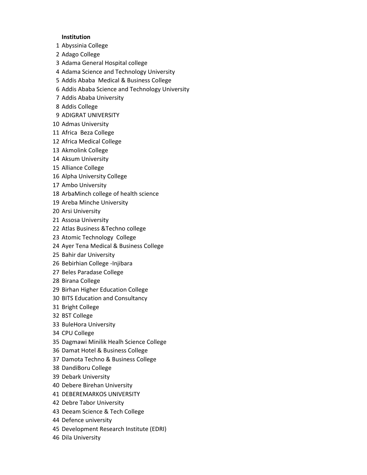## **Institution**

- Abyssinia College
- Adago College
- Adama General Hospital college
- Adama Science and Technology University
- Addis Ababa Medical & Business College
- Addis Ababa Science and Technology University
- Addis Ababa University
- Addis College
- ADIGRAT UNIVERSITY
- Admas University
- Africa Beza College
- Africa Medical College
- Akmolink College
- Aksum University
- Alliance College
- Alpha University College
- Ambo University
- ArbaMinch college of health science
- Areba Minche University
- Arsi University
- Assosa University
- Atlas Business &Techno college
- Atomic Technology College
- Ayer Tena Medical & Business College
- Bahir dar University
- Bebirhian College -Injibara
- Beles Paradase College
- Birana College
- Birhan Higher Education College
- BITS Education and Consultancy
- Bright College
- BST College
- BuleHora University
- CPU College
- Dagmawi Minilik Healh Science College
- Damat Hotel & Business College
- Damota Techno & Business College
- DandiBoru College
- Debark University
- Debere Birehan University
- DEBEREMARKOS UNIVERSITY
- Debre Tabor University
- Deeam Science & Tech College
- Defence university
- Development Research Institute (EDRI)
- Dila University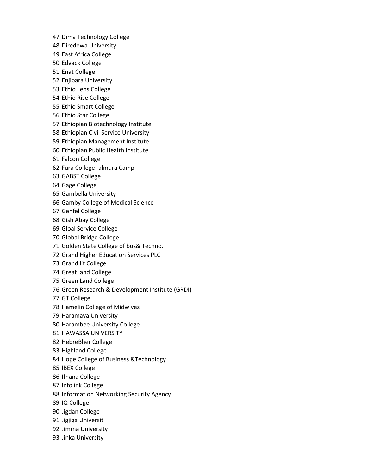- Dima Technology College
- Diredewa University
- East Africa College
- Edvack College
- Enat College
- Enjibara University
- Ethio Lens College
- Ethio Rise College
- Ethio Smart College
- Ethio Star College
- Ethiopian Biotechnology Institute
- Ethiopian Civil Service University
- Ethiopian Management Institute
- Ethiopian Public Health Institute
- Falcon College
- Fura College -almura Camp
- GABST College
- Gage College
- Gambella University
- Gamby College of Medical Science
- Genfel College
- Gish Abay College
- Gloal Service College
- Global Bridge College
- Golden State College of bus& Techno.
- Grand Higher Education Services PLC
- Grand lit College
- Great land College
- Green Land College
- Green Research & Development Institute (GRDI)
- GT College
- Hamelin College of Midwives
- Haramaya University
- Harambee University College
- HAWASSA UNIVERSITY
- HebreBher College
- Highland College
- Hope College of Business &Technology
- IBEX College
- Ifnana College
- Infolink College
- Information Networking Security Agency
- IQ College
- Jigdan College
- Jigjiga Universit
- Jimma University
- Jinka University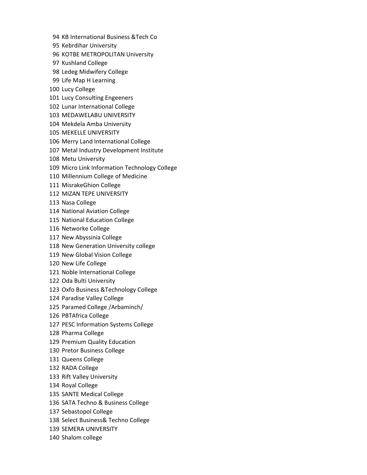- KB International Business &Tech Co
- Kebrdihar University
- KOTBE METROPOLITAN University
- Kushland College
- Ledeg Midwifery College
- Life Map H Learning
- Lucy College
- Lucy Consulting Engeeners
- Lunar International College
- MEDAWELABU UNIVERSITY
- Mekdela Amba University
- MEKELLE UNIVERSITY
- Merry Land International College
- Metal Industry Development Institute
- Metu University
- Micro Link Information Technology College
- Millennium College of Medicine
- MisrakeGhion College
- MIZAN TEPE UNIVERSITY
- Nasa College
- National Aviation College
- National Education College
- Networke College
- New Abyssinia College
- New Generation University college
- New Global Vision College
- New Life College
- Noble International College
- Oda Bulti University
- Oxfo Business &Technology College
- Paradise Valley College
- Paramed College /Arbaminch/
- PBTAfrica College
- PESC Information Systems College
- Pharma College
- Premium Quality Education
- Pretor Business College
- Queens College
- RADA College
- Rift Valley University
- Royal College
- SANTE Medical College
- SATA Techno & Business College
- Sebastopol College
- Select Business& Techno College
- SEMERA UNIVERSITY
- Shalom college